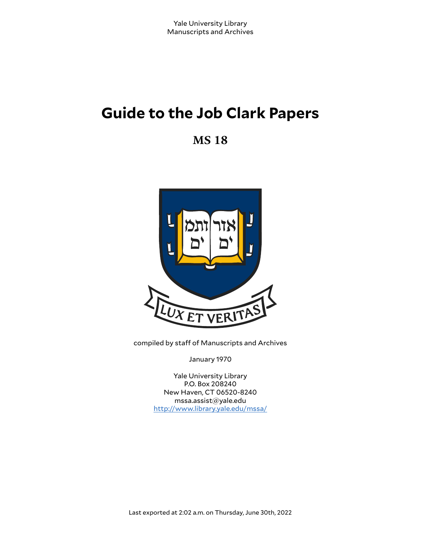# **Guide to the Job Clark Papers**

**MS 18**



compiled by staff of Manuscripts and Archives

January 1970

Yale University Library P.O. Box 208240 New Haven, CT 06520-8240 mssa.assist@yale.edu <http://www.library.yale.edu/mssa/>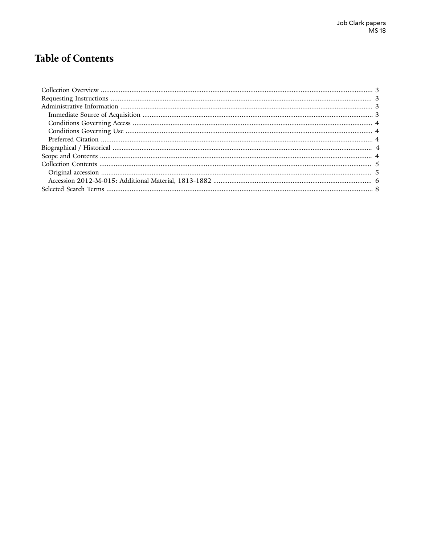# **Table of Contents**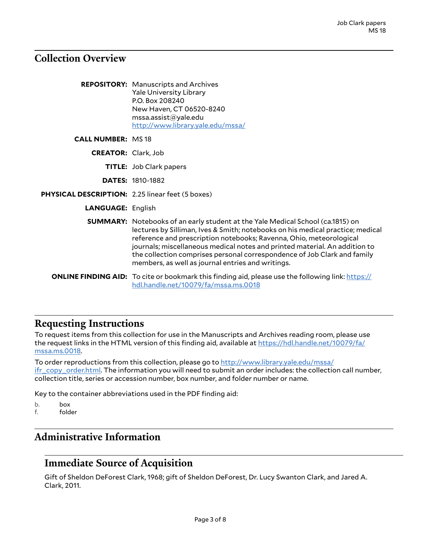### <span id="page-2-0"></span>**Collection Overview**

|                                                  | <b>REPOSITORY:</b> Manuscripts and Archives<br><b>Yale University Library</b><br>P.O. Box 208240<br>New Haven, CT 06520-8240<br>msa. assist@yale.edu<br>http://www.library.yale.edu/mssa/                                                                                                                                                                                                                                                                     |
|--------------------------------------------------|---------------------------------------------------------------------------------------------------------------------------------------------------------------------------------------------------------------------------------------------------------------------------------------------------------------------------------------------------------------------------------------------------------------------------------------------------------------|
| <b>CALL NUMBER: MS18</b>                         |                                                                                                                                                                                                                                                                                                                                                                                                                                                               |
| <b>CREATOR:</b> Clark, Job                       |                                                                                                                                                                                                                                                                                                                                                                                                                                                               |
|                                                  | <b>TITLE:</b> Job Clark papers                                                                                                                                                                                                                                                                                                                                                                                                                                |
|                                                  | <b>DATES: 1810-1882</b>                                                                                                                                                                                                                                                                                                                                                                                                                                       |
| PHYSICAL DESCRIPTION: 2.25 linear feet (5 boxes) |                                                                                                                                                                                                                                                                                                                                                                                                                                                               |
| <b>LANGUAGE: English</b>                         |                                                                                                                                                                                                                                                                                                                                                                                                                                                               |
|                                                  | <b>SUMMARY:</b> Notebooks of an early student at the Yale Medical School (ca.1815) on<br>lectures by Silliman, Ives & Smith; notebooks on his medical practice; medical<br>reference and prescription notebooks; Ravenna, Ohio, meteorological<br>journals; miscellaneous medical notes and printed material. An addition to<br>the collection comprises personal correspondence of Job Clark and family<br>members, as well as journal entries and writings. |
|                                                  | <b>ONLINE FINDING AID:</b> To cite or bookmark this finding aid, please use the following link: https://<br>hdl.handle.net/10079/fa/mssa.ms.0018                                                                                                                                                                                                                                                                                                              |

### <span id="page-2-1"></span>**Requesting Instructions**

To request items from this collection for use in the Manuscripts and Archives reading room, please use the request links in the HTML version of this finding aid, available at [https://hdl.handle.net/10079/fa/](https://hdl.handle.net/10079/fa/mssa.ms.0018) [mssa.ms.0018.](https://hdl.handle.net/10079/fa/mssa.ms.0018)

To order reproductions from this collection, please go to [http://www.library.yale.edu/mssa/](http://www.library.yale.edu/mssa/ifr_copy_order.html) [ifr\\_copy\\_order.html.](http://www.library.yale.edu/mssa/ifr_copy_order.html) The information you will need to submit an order includes: the collection call number, collection title, series or accession number, box number, and folder number or name.

Key to the container abbreviations used in the PDF finding aid:

b. box<br>f. fold

folder

# <span id="page-2-2"></span>**Administrative Information**

#### <span id="page-2-3"></span>**Immediate Source of Acquisition**

Gift of Sheldon DeForest Clark, 1968; gift of Sheldon DeForest, Dr. Lucy Swanton Clark, and Jared A. Clark, 2011.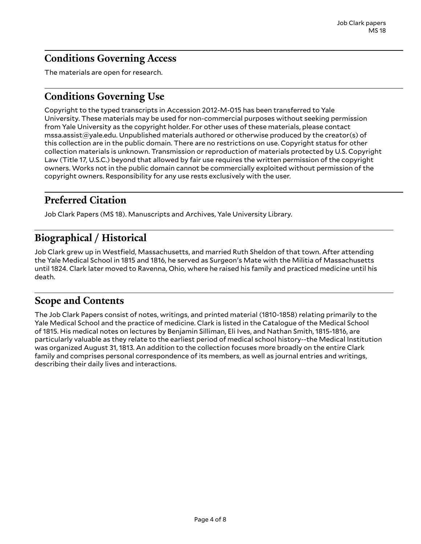# <span id="page-3-0"></span>**Conditions Governing Access**

The materials are open for research.

### <span id="page-3-1"></span>**Conditions Governing Use**

Copyright to the typed transcripts in Accession 2012-M-015 has been transferred to Yale University. These materials may be used for non-commercial purposes without seeking permission from Yale University as the copyright holder. For other uses of these materials, please contact mssa.assist@yale.edu. Unpublished materials authored or otherwise produced by the creator(s) of this collection are in the public domain. There are no restrictions on use. Copyright status for other collection materials is unknown. Transmission or reproduction of materials protected by U.S. Copyright Law (Title 17, U.S.C.) beyond that allowed by fair use requires the written permission of the copyright owners. Works not in the public domain cannot be commercially exploited without permission of the copyright owners. Responsibility for any use rests exclusively with the user.

# <span id="page-3-2"></span>**Preferred Citation**

Job Clark Papers (MS 18). Manuscripts and Archives, Yale University Library.

# <span id="page-3-3"></span>**Biographical / Historical**

Job Clark grew up in Westfield, Massachusetts, and married Ruth Sheldon of that town. After attending the Yale Medical School in 1815 and 1816, he served as Surgeon's Mate with the Militia of Massachusetts until 1824. Clark later moved to Ravenna, Ohio, where he raised his family and practiced medicine until his death.

### <span id="page-3-4"></span>**Scope and Contents**

The Job Clark Papers consist of notes, writings, and printed material (1810-1858) relating primarily to the Yale Medical School and the practice of medicine. Clark is listed in the Catalogue of the Medical School of 1815. His medical notes on lectures by Benjamin Silliman, Eli Ives, and Nathan Smith, 1815-1816, are particularly valuable as they relate to the earliest period of medical school history--the Medical Institution was organized August 31, 1813. An addition to the collection focuses more broadly on the entire Clark family and comprises personal correspondence of its members, as well as journal entries and writings, describing their daily lives and interactions.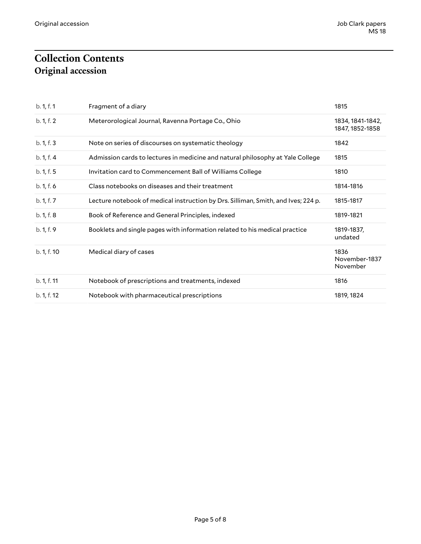# <span id="page-4-1"></span><span id="page-4-0"></span>**Collection Contents Original accession**

| b. 1, f. 1  | Fragment of a diary                                                               | 1815                                |
|-------------|-----------------------------------------------------------------------------------|-------------------------------------|
| b. 1, f. 2  | Meterorological Journal, Ravenna Portage Co., Ohio                                | 1834, 1841-1842,<br>1847, 1852-1858 |
| b. 1, f. 3  | Note on series of discourses on systematic theology                               | 1842                                |
| b. 1, f. 4  | Admission cards to lectures in medicine and natural philosophy at Yale College    | 1815                                |
| b. 1, f. 5  | Invitation card to Commencement Ball of Williams College                          | 1810                                |
| b. 1, f. 6  | Class notebooks on diseases and their treatment                                   | 1814-1816                           |
| b. 1, f. 7  | Lecture notebook of medical instruction by Drs. Silliman, Smith, and Ives; 224 p. | 1815-1817                           |
| b. 1, f. 8  | Book of Reference and General Principles, indexed                                 | 1819-1821                           |
| b. 1, f. 9  | Booklets and single pages with information related to his medical practice        | 1819-1837,<br>undated               |
| b. 1, f. 10 | Medical diary of cases                                                            | 1836<br>November-1837<br>November   |
| b. 1, f. 11 | Notebook of prescriptions and treatments, indexed                                 | 1816                                |
| b. 1, f. 12 | Notebook with pharmaceutical prescriptions                                        | 1819, 1824                          |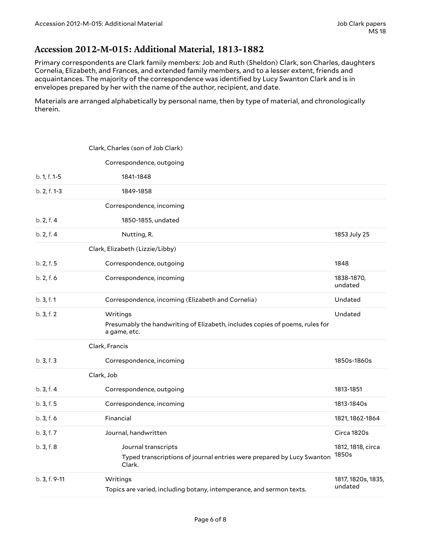#### <span id="page-5-0"></span>**Accession 2012-M-015: Additional Material, 1813-1882**

Primary correspondents are Clark family members: Job and Ruth (Sheldon) Clark, son Charles, daughters Cornelia, Elizabeth, and Frances, and extended family members, and to a lesser extent, friends and acquaintances. The majority of the correspondence was identified by Lucy Swanton Clark and is in envelopes prepared by her with the name of the author, recipient, and date.

Materials are arranged alphabetically by personal name, then by type of material, and chronologically therein.

|               | Clark, Charles (son of Job Clark)                                                                        |                               |
|---------------|----------------------------------------------------------------------------------------------------------|-------------------------------|
|               | Correspondence, outgoing                                                                                 |                               |
| b. 1, f. 1-5  | 1841-1848                                                                                                |                               |
| b. 2, f. 1-3  | 1849-1858                                                                                                |                               |
|               | Correspondence, incoming                                                                                 |                               |
| b. 2, f. 4    | 1850-1855, undated                                                                                       |                               |
| b. 2, f. 4    | Nutting, R.                                                                                              | 1853 July 25                  |
|               | Clark, Elizabeth (Lizzie/Libby)                                                                          |                               |
| b. 2, f. 5    | Correspondence, outgoing                                                                                 | 1848                          |
| b. 2, f. 6    | Correspondence, incoming                                                                                 | 1838-1870,<br>undated         |
| b. 3, f. 1    | Correspondence, incoming (Elizabeth and Cornelia)                                                        | Undated                       |
| b. 3, f. 2    | Writings<br>Presumably the handwriting of Elizabeth, includes copies of poems, rules for<br>a game, etc. | Undated                       |
|               | Clark, Francis                                                                                           |                               |
| b.3, f.3      | Correspondence, incoming                                                                                 | 1850s-1860s                   |
|               | Clark, Job                                                                                               |                               |
| b. 3, f. 4    | Correspondence, outgoing                                                                                 | 1813-1851                     |
| b. 3, f. 5    | Correspondence, incoming                                                                                 | 1813-1840s                    |
| b.3, f.6      | Financial                                                                                                | 1821, 1862-1864               |
| b. 3, f. 7    | Journal, handwritten                                                                                     | Circa 1820s                   |
| b. 3, f. 8    | Journal transcripts<br>Typed transcriptions of journal entries were prepared by Lucy Swanton<br>Clark.   | 1812, 1818, circa<br>1850s    |
| b. 3, f. 9-11 | Writings<br>Topics are varied, including botany, intemperance, and sermon texts.                         | 1817, 1820s, 1835,<br>undated |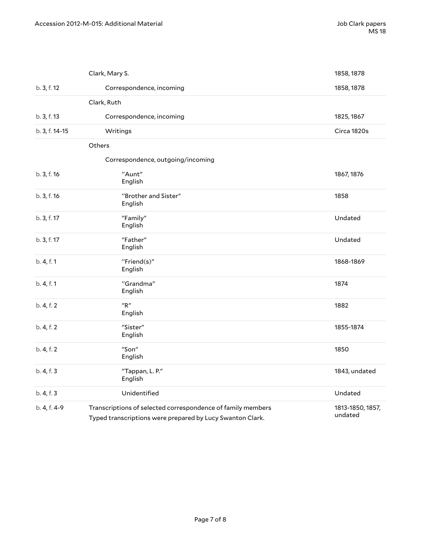|                | Clark, Mary S.                                                                                                           | 1858, 1878                  |
|----------------|--------------------------------------------------------------------------------------------------------------------------|-----------------------------|
| b. 3, f. 12    | Correspondence, incoming                                                                                                 | 1858, 1878                  |
|                | Clark, Ruth                                                                                                              |                             |
| b. 3, f. 13    | Correspondence, incoming                                                                                                 | 1825, 1867                  |
| b. 3, f. 14-15 | Writings                                                                                                                 | Circa 1820s                 |
|                | Others                                                                                                                   |                             |
|                | Correspondence, outgoing/incoming                                                                                        |                             |
| b. 3, f. 16    | "Aunt"<br>English                                                                                                        | 1867, 1876                  |
| b. 3, f. 16    | "Brother and Sister"<br>English                                                                                          | 1858                        |
| b. 3, f. 17    | "Family"<br>English                                                                                                      | Undated                     |
| b. 3, f. 17    | "Father"<br>English                                                                                                      | Undated                     |
| b. 4, f. 1     | "Friend(s)"<br>English                                                                                                   | 1868-1869                   |
| b. 4, f. 1     | "Grandma"<br>English                                                                                                     | 1874                        |
| b. 4, f. 2     | ''R''<br>English                                                                                                         | 1882                        |
| b. 4, f. 2     | "Sister"<br>English                                                                                                      | 1855-1874                   |
| b. 4, f. 2     | "Son"<br>English                                                                                                         | 1850                        |
| b. 4, f. 3     | "Tappan, L. P."<br>English                                                                                               | 1843, undated               |
| b. 4, f. 3     | Unidentified                                                                                                             | Undated                     |
| b. 4, f. 4-9   | Transcriptions of selected correspondence of family members<br>Typed transcriptions were prepared by Lucy Swanton Clark. | 1813-1850, 1857,<br>undated |